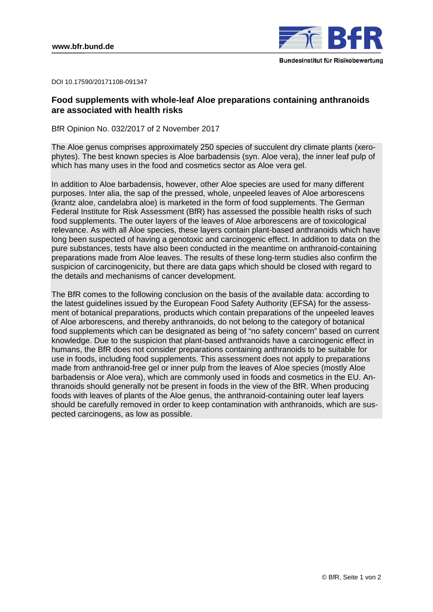

DOI 10.17590/20171108-091347

# **Food supplements with whole-leaf Aloe preparations containing anthranoids are associated with health risks**

BfR Opinion No. 032/2017 of 2 November 2017

The Aloe genus comprises approximately 250 species of succulent dry climate plants (xerophytes). The best known species is Aloe barbadensis (syn. Aloe vera), the inner leaf pulp of which has many uses in the food and cosmetics sector as Aloe vera gel.

In addition to Aloe barbadensis, however, other Aloe species are used for many different purposes. Inter alia, the sap of the pressed, whole, unpeeled leaves of Aloe arborescens (krantz aloe, candelabra aloe) is marketed in the form of food supplements. The German Federal Institute for Risk Assessment (BfR) has assessed the possible health risks of such food supplements. The outer layers of the leaves of Aloe arborescens are of toxicological relevance. As with all Aloe species, these layers contain plant-based anthranoids which have long been suspected of having a genotoxic and carcinogenic effect. In addition to data on the pure substances, tests have also been conducted in the meantime on anthranoid-containing preparations made from Aloe leaves. The results of these long-term studies also confirm the suspicion of carcinogenicity, but there are data gaps which should be closed with regard to the details and mechanisms of cancer development.

The BfR comes to the following conclusion on the basis of the available data: according to the latest guidelines issued by the European Food Safety Authority (EFSA) for the assessment of botanical preparations, products which contain preparations of the unpeeled leaves of Aloe arborescens, and thereby anthranoids, do not belong to the category of botanical food supplements which can be designated as being of "no safety concern" based on current knowledge. Due to the suspicion that plant-based anthranoids have a carcinogenic effect in humans, the BfR does not consider preparations containing anthranoids to be suitable for use in foods, including food supplements. This assessment does not apply to preparations made from anthranoid-free gel or inner pulp from the leaves of Aloe species (mostly Aloe barbadensis or Aloe vera), which are commonly used in foods and cosmetics in the EU. Anthranoids should generally not be present in foods in the view of the BfR. When producing foods with leaves of plants of the Aloe genus, the anthranoid-containing outer leaf layers should be carefully removed in order to keep contamination with anthranoids, which are suspected carcinogens, as low as possible.